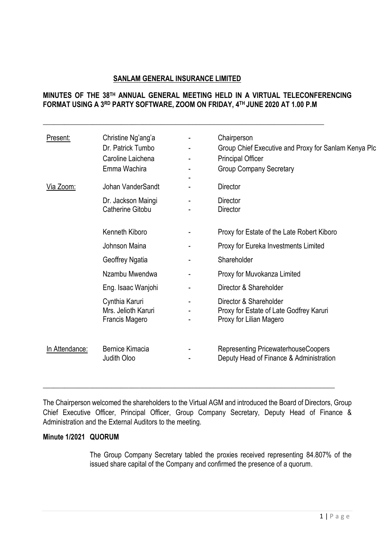### **SANLAM GENERAL INSURANCE LIMITED**

**\_\_\_\_\_\_\_\_\_\_\_\_\_\_\_\_\_\_\_\_\_\_\_\_\_\_\_\_\_\_\_\_\_\_\_\_\_\_\_\_\_\_\_\_\_\_\_\_\_\_\_\_\_\_\_\_\_\_\_\_\_\_\_\_\_\_\_\_\_\_\_\_\_\_\_\_\_\_\_**

# **MINUTES OF THE 38 TH ANNUAL GENERAL MEETING HELD IN A VIRTUAL TELECONFERENCING FORMAT USING A 3RD PARTY SOFTWARE, ZOOM ON FRIDAY, 4 TH JUNE 2020 AT 1.00 P.M**

| Present:       | Christine Ng'ang'a<br>Dr. Patrick Tumbo<br>Caroline Laichena<br>Emma Wachira | Chairperson<br>Group Chief Executive and Proxy for Sanlam Kenya Plo<br><b>Principal Officer</b><br><b>Group Company Secretary</b> |
|----------------|------------------------------------------------------------------------------|-----------------------------------------------------------------------------------------------------------------------------------|
| Via Zoom:      | Johan VanderSandt                                                            | <b>Director</b>                                                                                                                   |
|                | Dr. Jackson Maingi<br>Catherine Gitobu                                       | <b>Director</b><br>Director                                                                                                       |
|                | Kenneth Kiboro                                                               | Proxy for Estate of the Late Robert Kiboro                                                                                        |
|                | Johnson Maina                                                                | Proxy for Eureka Investments Limited                                                                                              |
|                | Geoffrey Ngatia                                                              | Shareholder                                                                                                                       |
|                | Nzambu Mwendwa                                                               | Proxy for Muvokanza Limited                                                                                                       |
|                | Eng. Isaac Wanjohi                                                           | Director & Shareholder                                                                                                            |
|                | Cynthia Karuri<br>Mrs. Jelioth Karuri<br>Francis Magero                      | Director & Shareholder<br>Proxy for Estate of Late Godfrey Karuri<br>Proxy for Lilian Magero                                      |
| In Attendance: | <b>Bernice Kimacia</b><br>Judith Oloo                                        | Representing PricewaterhouseCoopers<br>Deputy Head of Finance & Administration                                                    |

The Chairperson welcomed the shareholders to the Virtual AGM and introduced the Board of Directors, Group Chief Executive Officer, Principal Officer, Group Company Secretary, Deputy Head of Finance & Administration and the External Auditors to the meeting.

\_\_\_\_\_\_\_\_\_\_\_\_\_\_\_\_\_\_\_\_\_\_\_\_\_\_\_\_\_\_\_\_\_\_\_\_\_\_\_\_\_\_\_\_\_\_\_\_\_\_\_\_\_\_\_\_\_\_\_\_\_\_\_\_\_\_\_\_\_\_\_\_\_\_\_\_\_\_\_\_\_\_

### **Minute 1/2021 QUORUM**

The Group Company Secretary tabled the proxies received representing 84.807% of the issued share capital of the Company and confirmed the presence of a quorum.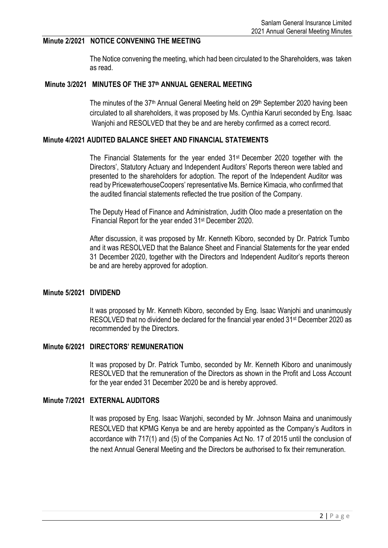# **Minute 2/2021 NOTICE CONVENING THE MEETING**

The Notice convening the meeting, which had been circulated to the Shareholders, was taken as read.

#### **Minute 3/2021 MINUTES OF THE 37 th ANNUAL GENERAL MEETING**

The minutes of the 37<sup>th</sup> Annual General Meeting held on 29<sup>th</sup> September 2020 having been circulated to all shareholders, it was proposed by Ms. Cynthia Karuri seconded by Eng. Isaac Wanjohi and RESOLVED that they be and are hereby confirmed as a correct record.

### **Minute 4/2021 AUDITED BALANCE SHEET AND FINANCIAL STATEMENTS**

The Financial Statements for the year ended 31st December 2020 together with the Directors', Statutory Actuary and Independent Auditors' Reports thereon were tabled and presented to the shareholders for adoption. The report of the Independent Auditor was read by PricewaterhouseCoopers' representative Ms. Bernice Kimacia, who confirmed that the audited financial statements reflected the true position of the Company.

The Deputy Head of Finance and Administration, Judith Oloo made a presentation on the Financial Report for the year ended 31<sup>st</sup> December 2020.

After discussion, it was proposed by Mr. Kenneth Kiboro, seconded by Dr. Patrick Tumbo and it was RESOLVED that the Balance Sheet and Financial Statements for the year ended 31 December 2020, together with the Directors and Independent Auditor's reports thereon be and are hereby approved for adoption.

#### **Minute 5/2021 DIVIDEND**

It was proposed by Mr. Kenneth Kiboro, seconded by Eng. Isaac Wanjohi and unanimously RESOLVED that no dividend be declared for the financial year ended 31<sup>st</sup> December 2020 as recommended by the Directors.

### **Minute 6/2021 DIRECTORS' REMUNERATION**

It was proposed by Dr. Patrick Tumbo, seconded by Mr. Kenneth Kiboro and unanimously RESOLVED that the remuneration of the Directors as shown in the Profit and Loss Account for the year ended 31 December 2020 be and is hereby approved.

# **Minute 7/2021 EXTERNAL AUDITORS**

It was proposed by Eng. Isaac Wanjohi, seconded by Mr. Johnson Maina and unanimously RESOLVED that KPMG Kenya be and are hereby appointed as the Company's Auditors in accordance with 717(1) and (5) of the Companies Act No. 17 of 2015 until the conclusion of the next Annual General Meeting and the Directors be authorised to fix their remuneration.